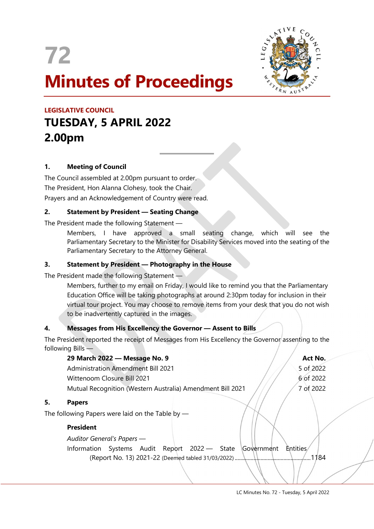

 $\overline{a}$ 



# LEGISLATIVE COUNCIL TUESDAY, 5 APRIL 2022 2.00pm

# 1. Meeting of Council

 $5.$ 

The Council assembled at 2.00pm pursuant to order. The President, Hon Alanna Clohesy, took the Chair. Prayers and an Acknowledgement of Country were read.

# 2. Statement by President — Seating Change

The President made the following Statement —

Members, I have approved a small seating change, which will see the Parliamentary Secretary to the Minister for Disability Services moved into the seating of the Parliamentary Secretary to the Attorney General.

# 3. Statement by President — Photography in the House

The President made the following Statement —

Members, further to my email on Friday, I would like to remind you that the Parliamentary Education Office will be taking photographs at around 2:30pm today for inclusion in their virtual tour project. You may choose to remove items from your desk that you do not wish to be inadvertently captured in the images.

# 4. Messages from His Excellency the Governor — Assent to Bills

The President reported the receipt of Messages from His Excellency the Governor assenting to the following Bills —

|    | 29 March 2022 - Message No. 9                              | Act No.                       |
|----|------------------------------------------------------------|-------------------------------|
|    | <b>Administration Amendment Bill 2021</b>                  | 5 of 2022                     |
|    | Wittenoom Closure Bill 2021                                | 6 of 2022                     |
|    | Mutual Recognition (Western Australia) Amendment Bill 2021 | 7 of 2022                     |
| 5. | <b>Papers</b>                                              |                               |
|    | The following Papers were laid on the Table by $-$         |                               |
|    | <b>President</b>                                           |                               |
|    | Auditor General's Papers -                                 |                               |
|    | Systems Audit Report 2022 - State<br>Information           | <b>Entities</b><br>Government |
|    |                                                            | 1184                          |
|    |                                                            |                               |
|    |                                                            |                               |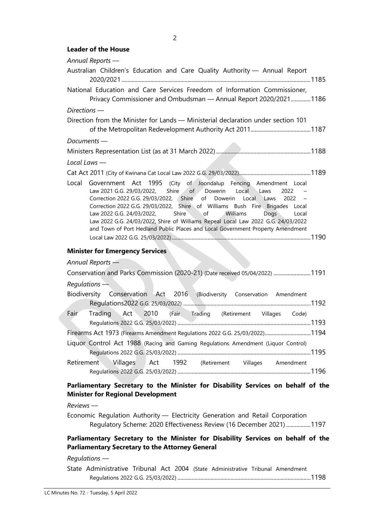#### Leader of the House

| Annual Reports -                                                                                                                                                                                                                                                                                                                                                                                                                                                                                                                                                               |  |  |
|--------------------------------------------------------------------------------------------------------------------------------------------------------------------------------------------------------------------------------------------------------------------------------------------------------------------------------------------------------------------------------------------------------------------------------------------------------------------------------------------------------------------------------------------------------------------------------|--|--|
| Australian Children's Education and Care Quality Authority - Annual Report                                                                                                                                                                                                                                                                                                                                                                                                                                                                                                     |  |  |
| National Education and Care Services Freedom of Information Commissioner,<br>Privacy Commissioner and Ombudsman - Annual Report 2020/20211186                                                                                                                                                                                                                                                                                                                                                                                                                                  |  |  |
| $Directions$ —                                                                                                                                                                                                                                                                                                                                                                                                                                                                                                                                                                 |  |  |
| Direction from the Minister for Lands - Ministerial declaration under section 101                                                                                                                                                                                                                                                                                                                                                                                                                                                                                              |  |  |
| $Documents$ $-$                                                                                                                                                                                                                                                                                                                                                                                                                                                                                                                                                                |  |  |
|                                                                                                                                                                                                                                                                                                                                                                                                                                                                                                                                                                                |  |  |
| Local Laws $-$                                                                                                                                                                                                                                                                                                                                                                                                                                                                                                                                                                 |  |  |
|                                                                                                                                                                                                                                                                                                                                                                                                                                                                                                                                                                                |  |  |
| Government Act 1995 (City of Joondalup Fencing Amendment Local<br>Local<br>Shire<br>of Dowerin Local Laws<br>Law 2021 G.G. 29/03/2022,<br>2022<br>Correction 2022 G.G. 29/03/2022, Shire of Dowerin Local Laws<br>2022<br>Correction 2022 G.G. 29/03/2022, Shire of Williams Bush Fire Brigades Local<br>Shire<br>Law 2022 G.G. 24/03/2022,<br>$\overline{\phantom{a}}$ of<br>Williams<br>Dogs<br>Local<br>Law 2022 G.G. 24/03/2022, Shire of Williams Repeal Local Law 2022 G.G. 24/03/2022<br>and Town of Port Hedland Public Places and Local Government Property Amendment |  |  |
| <b>Minister for Emergency Services</b>                                                                                                                                                                                                                                                                                                                                                                                                                                                                                                                                         |  |  |
| Annual Reports -                                                                                                                                                                                                                                                                                                                                                                                                                                                                                                                                                               |  |  |
| Conservation and Parks Commission (2020-21) (Date received 05/04/2022) 1191                                                                                                                                                                                                                                                                                                                                                                                                                                                                                                    |  |  |
| $Requirements -$                                                                                                                                                                                                                                                                                                                                                                                                                                                                                                                                                               |  |  |
| Biodiversity Conservation Act 2016 (Biodiversity Conservation Amendment                                                                                                                                                                                                                                                                                                                                                                                                                                                                                                        |  |  |
| Act 2010 (Fair Trading (Retirement Villages Code)<br>Fair<br>Trading                                                                                                                                                                                                                                                                                                                                                                                                                                                                                                           |  |  |
| Firearms Act 1973 (Firearms Amendment Regulations 2022 G.G. 25/03/2022)1194                                                                                                                                                                                                                                                                                                                                                                                                                                                                                                    |  |  |
| Liquor Control Act 1988 (Racing and Gaming Regulations Amendment (Liquor Control)                                                                                                                                                                                                                                                                                                                                                                                                                                                                                              |  |  |
| Retirement Villages<br>Act 1992 (Retirement Villages Amendment                                                                                                                                                                                                                                                                                                                                                                                                                                                                                                                 |  |  |
|                                                                                                                                                                                                                                                                                                                                                                                                                                                                                                                                                                                |  |  |

## Parliamentary Secretary to the Minister for Disability Services on behalf of the Minister for Regional Development

Reviews —

Economic Regulation Authority — Electricity Generation and Retail Corporation Regulatory Scheme: 2020 Effectiveness Review (16 December 2021) ................. 1197

# Parliamentary Secretary to the Minister for Disability Services on behalf of the Parliamentary Secretary to the Attorney General

#### Regulations —

State Administrative Tribunal Act 2004 (State Administrative Tribunal Amendment Regulations 2022 G.G. 25/03/2022) ............................................................................................. 1198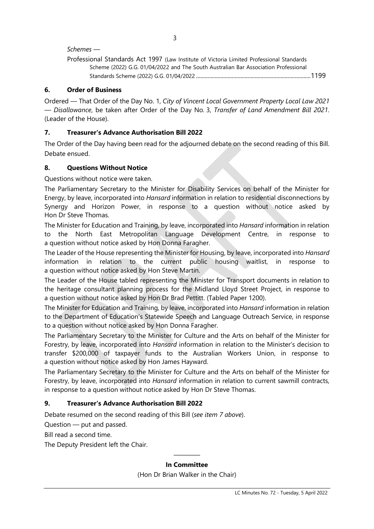$\sim$  3

#### Schemes —

| Professional Standards Act 1997 (Law Institute of Victoria Limited Professional Standards |  |
|-------------------------------------------------------------------------------------------|--|
| Scheme (2022) G.G. 01/04/2022 and The South Australian Bar Association Professional       |  |
|                                                                                           |  |

# 6. Order of Business

Ordered — That Order of the Day No. 1, City of Vincent Local Government Property Local Law 2021 — Disallowance, be taken after Order of the Day No. 3, Transfer of Land Amendment Bill 2021. (Leader of the House).

## 7. Treasurer's Advance Authorisation Bill 2022

The Order of the Day having been read for the adjourned debate on the second reading of this Bill. Debate ensued.

### 8. Questions Without Notice

Questions without notice were taken.

The Parliamentary Secretary to the Minister for Disability Services on behalf of the Minister for Energy, by leave, incorporated into Hansard information in relation to residential disconnections by Synergy and Horizon Power, in response to a question without notice asked by Hon Dr Steve Thomas.

The Minister for Education and Training, by leave, incorporated into Hansard information in relation to the North East Metropolitan Language Development Centre, in response to a question without notice asked by Hon Donna Faragher.

The Leader of the House representing the Minister for Housing, by leave, incorporated into Hansard information in relation to the current public housing waitlist, in response to a question without notice asked by Hon Steve Martin.

The Leader of the House tabled representing the Minister for Transport documents in relation to the heritage consultant planning process for the Midland Lloyd Street Project, in response to a question without notice asked by Hon Dr Brad Pettitt. (Tabled Paper 1200).

The Minister for Education and Training, by leave, incorporated into *Hansard* information in relation to the Department of Education's Statewide Speech and Language Outreach Service, in response to a question without notice asked by Hon Donna Faragher.

The Parliamentary Secretary to the Minister for Culture and the Arts on behalf of the Minister for Forestry, by leave, incorporated into Hansard information in relation to the Minister's decision to transfer \$200,000 of taxpayer funds to the Australian Workers Union, in response to a question without notice asked by Hon James Hayward.

The Parliamentary Secretary to the Minister for Culture and the Arts on behalf of the Minister for Forestry, by leave, incorporated into Hansard information in relation to current sawmill contracts, in response to a question without notice asked by Hon Dr Steve Thomas.

# 9. Treasurer's Advance Authorisation Bill 2022

Debate resumed on the second reading of this Bill (see item 7 above).

Question — put and passed.

Bill read a second time.

The Deputy President left the Chair.

# ———— In Committee

(Hon Dr Brian Walker in the Chair)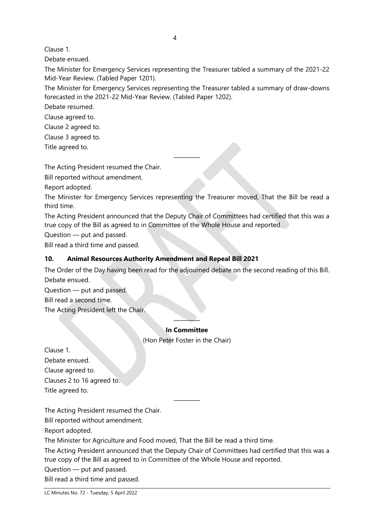Clause 1.

Debate ensued.

The Minister for Emergency Services representing the Treasurer tabled a summary of the 2021-22 Mid-Year Review. (Tabled Paper 1201).

The Minister for Emergency Services representing the Treasurer tabled a summary of draw-downs forecasted in the 2021-22 Mid-Year Review. (Tabled Paper 1202).

Debate resumed.

Clause agreed to.

Clause 2 agreed to.

Clause 3 agreed to.

Title agreed to.

The Acting President resumed the Chair.

Bill reported without amendment.

Report adopted.

The Minister for Emergency Services representing the Treasurer moved, That the Bill be read a third time.

————

The Acting President announced that the Deputy Chair of Committees had certified that this was a true copy of the Bill as agreed to in Committee of the Whole House and reported.

Question — put and passed.

Bill read a third time and passed.

# 10. Animal Resources Authority Amendment and Repeal Bill 2021

The Order of the Day having been read for the adjourned debate on the second reading of this Bill. Debate ensued.

Question — put and passed.

Bill read a second time.

The Acting President left the Chair.

# ———— In Committee

(Hon Peter Foster in the Chair)

Clause 1. Debate ensued. Clause agreed to. Clauses 2 to 16 agreed to. Title agreed to.

The Acting President resumed the Chair.

Bill reported without amendment.

Report adopted.

The Minister for Agriculture and Food moved, That the Bill be read a third time.

The Acting President announced that the Deputy Chair of Committees had certified that this was a true copy of the Bill as agreed to in Committee of the Whole House and reported.

————

Question — put and passed.

Bill read a third time and passed.